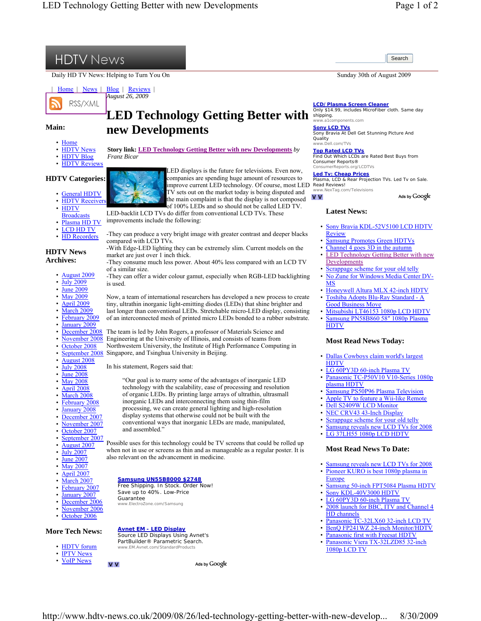